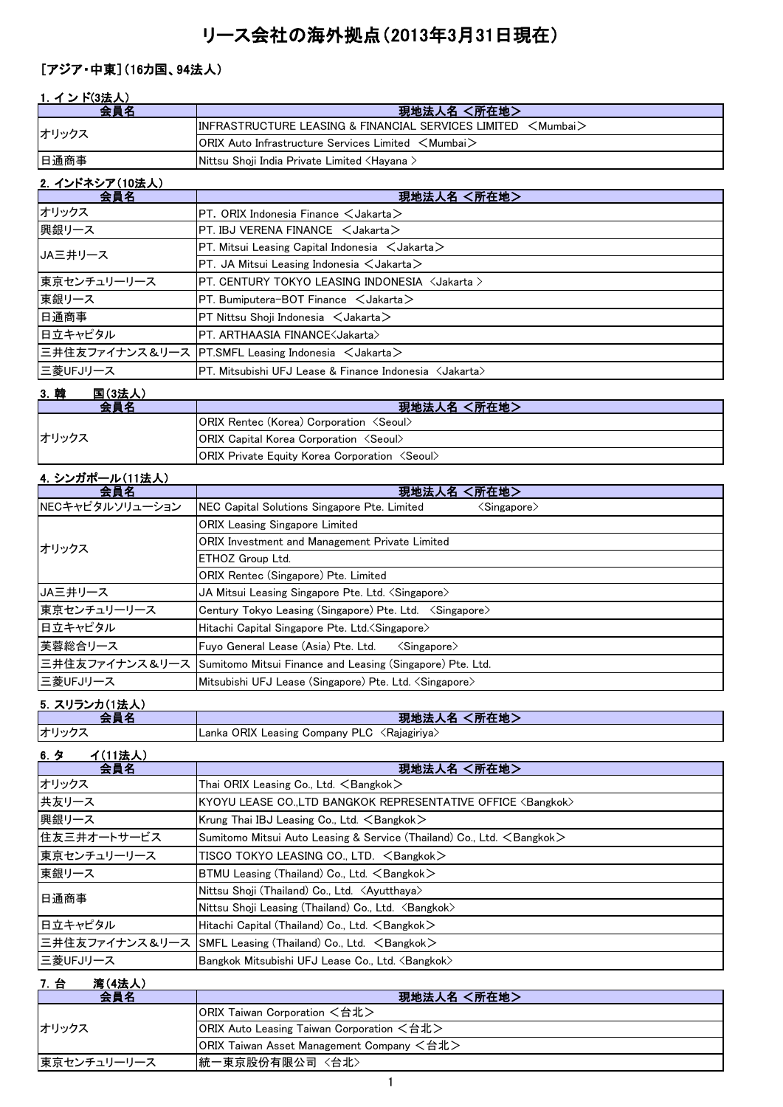# リース会社の海外拠点(2013年3月31日現在)

### [アジア・中東](16カ国、94法人)

### 1. インド(3法人)

| 会員名               | 現地法人名 <所在地>                                                              |
|-------------------|--------------------------------------------------------------------------|
| オリックス             | $\textsf{IINFRASTRUCTURE LEASING & FINANCIAL SERVICES LIMITED < Mumbai}$ |
|                   | $ ORIX$ Auto Infrastructure Services Limited $\leq$ Mumbai $\geq$        |
| 日通商事              | Nittsu Shoji India Private Limited ≺Hayana >                             |
| - ^ ノンパウミ マ/in壮 い |                                                                          |

| 2. インドネンア(10法人) |                                                                  |
|-----------------|------------------------------------------------------------------|
| 会員名             | 現地法人名 <所在地>                                                      |
| オリックス           | $PT.$ ORIX Indonesia Finance $\lt$ Jakarta $>$                   |
| 興銀リース           | $PT$ . IBJ VERENA FINANCE $\lt$ Jakarta $>$                      |
| JA三井リース         | $PT.$ Mitsui Leasing Capital Indonesia $\lt$ Jakarta $\gt$       |
|                 | $PT.$ JA Mitsui Leasing Indonesia $\lt$ Jakarta $>$              |
| 東京センチュリーリース     | PT. CENTURY TOKYO LEASING INDONESIA <jakarta></jakarta>          |
| 東銀リース           | $PT.$ Bumiputera-BOT Finance $\lt$ Jakarta $>$                   |
| 日通商事            | $PT$ Nittsu Shoji Indonesia $\lt$ Jakarta $>$                    |
| 日立キャピタル         | PT. ARTHAASIA FINANCE <jakarta></jakarta>                        |
|                 | 三井住友ファイナンス&リース PT.SMFL Leasing Indonesia <jakarta></jakarta>     |
| 三菱UFJリース        | PT. Mitsubishi UFJ Lease & Finance Indonesia <jakarta></jakarta> |
|                 |                                                                  |

### 3.韓 国(3法人)

| 会員名   | 現地法人名 <所在地>                                                  |
|-------|--------------------------------------------------------------|
| オリックス | <b>ORIX Rentec (Korea) Corporation <seoul></seoul></b>       |
|       | <b>ORIX Capital Korea Corporation <seoul></seoul></b>        |
|       | <b>ORIX Private Equity Korea Corporation <seoul></seoul></b> |

#### 4.シンガポール(11法人)

| 会員名             | <所在地><br>現地法人名                                                                |
|-----------------|-------------------------------------------------------------------------------|
| NECキャピタルソリューション | NEC Capital Solutions Singapore Pte. Limited<br>$\langle$ Singapore $\rangle$ |
| オリックス           | <b>ORIX Leasing Singapore Limited</b>                                         |
|                 | <b>ORIX Investment and Management Private Limited</b>                         |
|                 | ETHOZ Group Ltd.                                                              |
|                 | ORIX Rentec (Singapore) Pte. Limited                                          |
| JA三井リース         | JA Mitsui Leasing Singapore Pte. Ltd. <singapore></singapore>                 |
| 東京センチュリーリース     | Century Tokyo Leasing (Singapore) Pte. Ltd. < Singapore>                      |
| 日立キャピタル         | Hitachi Capital Singapore Pte. Ltd. < Singapore>                              |
| 芙蓉総合リース         | Fuyo General Lease (Asia) Pte. Ltd.<br>$\langle$ Singapore $\rangle$          |
|                 | 三井住友ファイナンス&リース Sumitomo Mitsui Finance and Leasing (Singapore) Pte. Ltd.      |
| 三菱UFJリース        | Mitsubishi UFJ Lease (Singapore) Pte. Ltd. <singapore></singapore>            |

#### 5. スリランカ(1法人)

|                       | 所在地<br>現地法                                                        |
|-----------------------|-------------------------------------------------------------------|
| オリックニ                 | J ORIX Leasing Company PLC<br><raiagiriva><br/>Lanka</raiagiriva> |
| <b>∡</b> (11注上<br>6 A |                                                                   |

| 0.7<br>100本人ノ |                                                                                 |
|---------------|---------------------------------------------------------------------------------|
| 会員名           | 現地法人名 <所在地>                                                                     |
| オリックス         | Thai ORIX Leasing Co., Ltd. $\leq$ Bangkok $>$                                  |
| 共友リース         | KYOYU LEASE CO.,LTD BANGKOK REPRESENTATIVE OFFICE <bangkok></bangkok>           |
| 興銀リース         | Krung Thai IBJ Leasing Co., Ltd. $\leq$ Bangkok $>$                             |
| 住友三井オートサービス   | Sumitomo Mitsui Auto Leasing & Service (Thailand) Co., Ltd. <bangkok></bangkok> |
| 東京センチュリーリース   | TISCO TOKYO LEASING CO., LTD. <bangkok></bangkok>                               |
| 東銀リース         | BTMU Leasing (Thailand) Co., Ltd. <bangkok></bangkok>                           |
| 日通商事          | Nittsu Shoji (Thailand) Co., Ltd. <ayutthaya></ayutthaya>                       |
|               | Nittsu Shoji Leasing (Thailand) Co., Ltd. <bangkok></bangkok>                   |
| 日立キャピタル       | Hitachi Capital (Thailand) Co., Ltd. $\leq$ Bangkok $>$                         |
|               | 三井住友ファイナンス&リース  SMFL Leasing (Thailand) Co., Ltd. 〈Bangkok〉                     |
| 三菱UFJリース      | Bangkok Mitsubishi UFJ Lease Co., Ltd. <bangkok></bangkok>                      |

#### 7.台 湾(4法人)

| 会員名         | 現地法人名 <所在地>                               |
|-------------|-------------------------------------------|
| オリックス       | ORIX Taiwan Corporation <台北>              |
|             | ORIX Auto Leasing Taiwan Corporation <台北> |
|             | ORIX Taiwan Asset Management Company <台北> |
| 東京センチュリーリース | 統一東京股份有限公司 <台北>                           |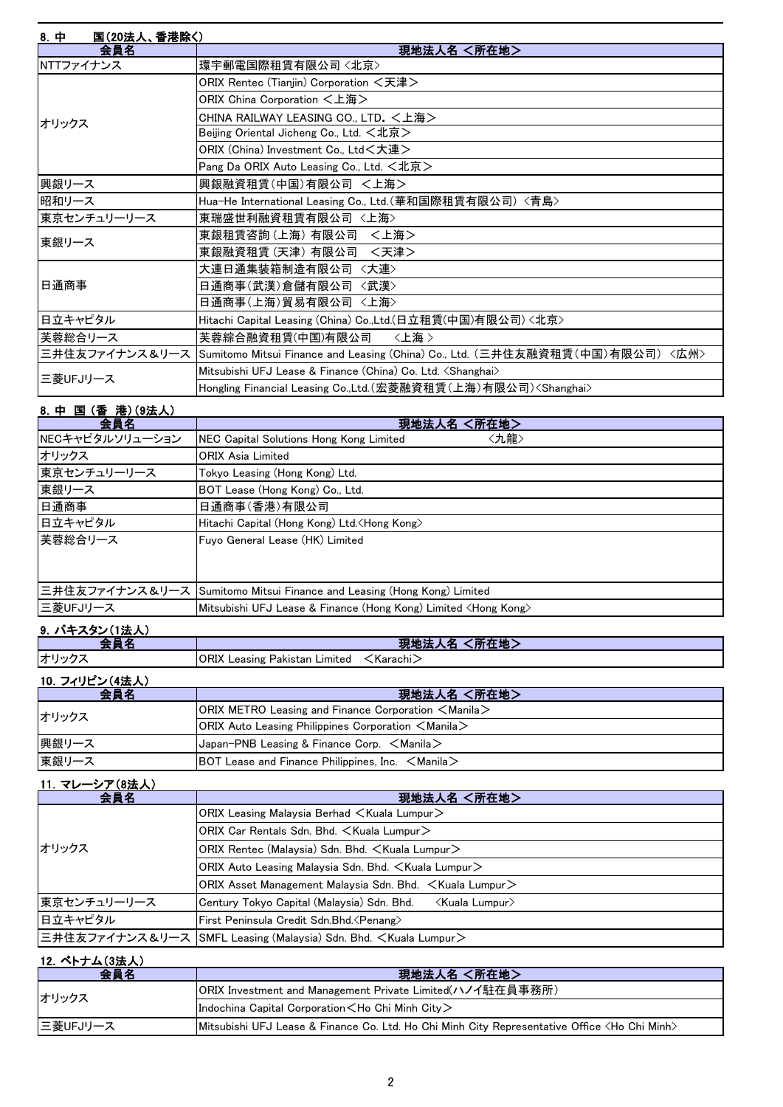| 8. 中<br>国(20法人、香港除く) |                                                                                              |
|----------------------|----------------------------------------------------------------------------------------------|
| 会員名                  | 現地法人名 <所在地>                                                                                  |
| NTTファイナンス            | 環宇郵電国際租賃有限公司〈北京〉                                                                             |
|                      | ORIX Rentec (Tianjin) Corporation <天津>                                                       |
|                      | ORIX China Corporation <上海>                                                                  |
| オリックス                | CHINA RAILWAY LEASING CO., LTD. <上海>                                                         |
|                      | Beijing Oriental Jicheng Co., Ltd. <北京>                                                      |
|                      | ORIX (China) Investment Co., Ltd<大連>                                                         |
|                      | Pang Da ORIX Auto Leasing Co., Ltd. <北京>                                                     |
| 興銀リース                | 興銀融資租賃(中国)有限公司 <上海>                                                                          |
| 昭和リース                | Hua-He International Leasing Co., Ltd.(華和国際租賃有限公司)〈青島〉                                       |
| 東京センチュリーリース          | 東瑞盛世利融資租賃有限公司 〈上海〉                                                                           |
| 東銀リース                | 東銀租賃咨詢(上海) 有限公司 <上海>                                                                         |
|                      | 東銀融資租賃 (天津) 有限公司 〈天津>                                                                        |
|                      | 大連日通集装箱制造有限公司 〈大連〉                                                                           |
| 日通商事                 | 日通商事(武漢)倉儲有限公司 <武漢>                                                                          |
|                      | 日通商事(上海)貿易有限公司 〈上海〉                                                                          |
| 日立キャピタル              | Hitachi Capital Leasing (China) Co.,Ltd.(日立租賃(中国)有限公司) <北京>                                  |
| 美蓉総合リース              | 芙蓉綜合融資租賃(中国)有限公司<br>〈上海〉                                                                     |
|                      | 三井住友ファイナンス&リース  Sumitomo Mitsui Finance and Leasing (China) Co., Ltd. (三井住友融資租賃(中国)有限公司)〈広州〉 |
| 三菱UFJリース             | Mitsubishi UFJ Lease & Finance (China) Co. Ltd. <shanghai></shanghai>                        |
|                      | Hongling Financial Leasing Co.,Ltd.(宏菱融資租賃(上海)有限公司) <shanghai></shanghai>                    |

### 8.中 国 (香 港)(9法人) 会員名 現地法人名 <所在地> NECキャピタルソリューション NEC Capital Solutions Hong Kong Limited <九龍> オリックス ORIX Asia Limited 東京センチュリーリース Tokyo Leasing (Hong Kong) Ltd. 東銀リース BOT Lease (Hong Kong) Co., Ltd. 日通商事(香港)有限公司 日立キャピタル Hitachi Capital (Hong Kong) Ltd.<Hong Kong> 芙蓉総合リース Fuyo General Lease (HK) Limited 三井住友ファイナンス&リース Sumitomo Mitsui Finance and Leasing (Hong Kong) Limited 三菱UFJリース Mitsubishi UFJ Lease & Finance (Hong Kong) Limited <Hong Kong>

#### 9.パキスタン(1法人)

| _                         | <b>The Li</b><br>ar a<br>- 1990 -<br>.<br>عدمت<br>-2767      |
|---------------------------|--------------------------------------------------------------|
| ıオ′<br>$\sim$ 1 M/ $\sim$ | .ntv<br>Leasing<br>Limited<br>.Karachı 2<br>Pakistan<br>∧וח∪ |

#### 10.フィリピン(4法人)

| 会員名   | 現地法人名 <所在地>                                                           |
|-------|-----------------------------------------------------------------------|
| オリックス | $ ORIX$ METRO Leasing and Finance Corporation $\leq$ Manila $\geq$    |
|       | <b>ORIX</b> Auto Leasing Philippines Corporation $\leq$ Manila $\geq$ |
| 興銀リース | $\vert$ Japan-PNB Leasing & Finance Corp. $\leq$ Manila $\geq$        |
| 東銀リース | BOT Lease and Finance Philippines, Inc. $\leq$ Manila $\geq$          |

#### 11.マレーシア(8法人)

| 会員名         | 現地法人名 <所在地>                                                                |
|-------------|----------------------------------------------------------------------------|
| オリックス       | ORIX Leasing Malaysia Berhad $\leq$ Kuala Lumpur $\geq$                    |
|             | ORIX Car Rentals Sdn. Bhd. < Kuala Lumpur>                                 |
|             | ORIX Rentec (Malaysia) Sdn. Bhd. < Kuala Lumpur>                           |
|             | ORIX Auto Leasing Malaysia Sdn. Bhd. $\leq$ Kuala Lumpur $\geq$            |
|             | ORIX Asset Management Malaysia Sdn. Bhd. $\leq$ Kuala Lumpur $\geq$        |
| 東京センチュリーリース | Century Tokyo Capital (Malaysia) Sdn. Bhd.<br>≺Kuala Lumpur>               |
| 日立キャピタル     | First Peninsula Credit Sdn.Bhd. < Penang>                                  |
|             | 三井住友ファイナンス&リース SMFL Leasing (Malaysia) Sdn. Bhd. <kuala lumpur=""></kuala> |

#### 12.ベトナム(3法人)

| 会員名      | 現地法人名 <所在地>                                                                                             |
|----------|---------------------------------------------------------------------------------------------------------|
| オリックス    | ORIX Investment and Management Private Limited(ハノイ駐在員事務所)                                               |
|          | Indochina Capital Corporation $\lt$ Ho Chi Minh City $\gt$                                              |
| 三菱UFJリース | Mitsubishi UFJ Lease & Finance Co. Ltd. Ho Chi Minh City Representative Office <ho chi="" minh=""></ho> |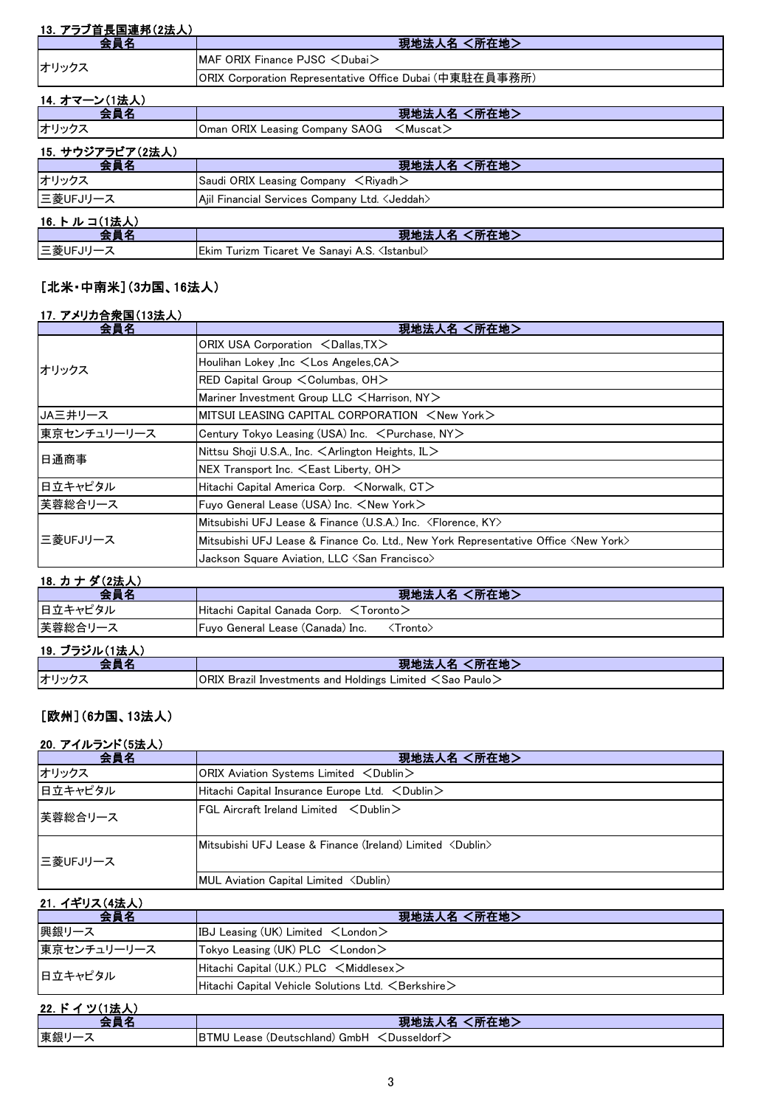| 13. アラブ首長国連邦(2法人) |                                                          |
|-------------------|----------------------------------------------------------|
| 会員名               | 現地法人名 <所在地>                                              |
| オリックス             | MAF ORIX Finance PJSC <dubai></dubai>                    |
|                   | ORIX Corporation Representative Office Dubai (中東駐在員事務所)  |
| 14. オマーン(1法人)     |                                                          |
| 会員名               | 現地法人名 <所在地>                                              |
| オリックス             | Oman ORIX Leasing Company SAOG<br>$<$ Muscat $>$         |
| 15. サウジアラビア(2法人)  |                                                          |
| 会員名               | 現地法人名 <所在地>                                              |
| オリックス             | Saudi ORIX Leasing Company $\leq$ Riyadh $>$             |
| 三菱UFJリース          | Ajil Financial Services Company Ltd. < Jeddah>           |
| 16. トルコ(1法人)      |                                                          |
| 会員名               | <所在地><br>現地法人名                                           |
| 三菱UFJリース          | Ekim Turizm Ticaret Ve Sanayi A.S. <istanbul></istanbul> |

### [北米・中南米](3カ国、16法人)

|  | 17. アメリカ合衆国(13法人) |
|--|-------------------|
|  |                   |

| 会員名         | 現地法人名 <所在地>                                                                                 |  |
|-------------|---------------------------------------------------------------------------------------------|--|
| オリックス       | ORIX USA Corporation <dallas, tx=""></dallas,>                                              |  |
|             | Houlihan Lokey , Inc <los angeles,="" ca=""></los>                                          |  |
|             | RED Capital Group $\leq$ Columbas, OH $>$                                                   |  |
|             | Mariner Investment Group LLC <harrison, ny=""></harrison,>                                  |  |
| JA三井リース     | $\blacksquare$ MITSUI LEASING CAPITAL CORPORATION $\,<$ New York $>$                        |  |
| 東京センチュリーリース | Century Tokyo Leasing (USA) Inc. < Purchase, NY>                                            |  |
| 日通商事        | Nittsu Shoji U.S.A., Inc. $\leq$ Arlington Heights, IL $>$                                  |  |
|             | $NEX$ Transport Inc. $\leq$ East Liberty, OH $>$                                            |  |
| 日立キャピタル     | Hitachi Capital America Corp. <norwalk, ct=""></norwalk,>                                   |  |
| 芙蓉総合リース     | Fuyo General Lease (USA) Inc. <new york=""></new>                                           |  |
| 三菱UFJリース    | Mitsubishi UFJ Lease & Finance (U.S.A.) Inc. <florence, ky=""></florence,>                  |  |
|             | Mitsubishi UFJ Lease & Finance Co. Ltd., New York Representative Office <new york=""></new> |  |
|             | Jackson Square Aviation, LLC $\triangle$ San Francisco>                                     |  |

#### 18.カ ナ ダ(2法人)

| 会員名           | 現地法人名 <所在地>                                               |
|---------------|-----------------------------------------------------------|
| 日立キャピタル       | Hitachi Capital Canada Corp. $\leq$ Toronto $\geq$        |
| 芙蓉総合リース       | <b>Fuyo General Lease (Canada) Inc.</b><br><b>≺Tronto</b> |
| 19. ブラジル(1法人) |                                                           |

| $\overline{\phantom{0}}$<br>ノンルい広へ |                                                                                |
|------------------------------------|--------------------------------------------------------------------------------|
|                                    | <b>Contract Contract Contract Contract</b><br>"明地"<br>$9T + 10$                |
| オリック                               | ORIX<br>〔Sao Paulo〕<br>l Holdings Limited <<br><b>Brazil Investments and I</b> |

## [欧州](6カ国、13法人)

#### 20.アイルランド(5法人)

| 会員名      | 現地法人名 <所在地>                                                        |
|----------|--------------------------------------------------------------------|
| オリックス    | ORIX Aviation Systems Limited <dublin></dublin>                    |
| 日立キャピタル  | Hitachi Capital Insurance Europe Ltd. < Dublin>                    |
| 芙蓉総合リース  | $FGL$ Aircraft Ireland Limited $\langle$ Dublin $\rangle$          |
| 三菱UFJリース | Mitsubishi UFJ Lease & Finance (Ireland) Limited <dublin></dublin> |
|          | MUL Aviation Capital Limited <dublin)< td=""></dublin)<>           |

# 21.イギリス(4法人)

| 会員名         | 現地法人名 <所在地>                                                    |  |
|-------------|----------------------------------------------------------------|--|
| 興銀リース       | IBJ Leasing (UK) Limited $\lt$ London $\gt$                    |  |
| 東京センチュリーリース | Tokyo Leasing (UK) $PLC \leq London$                           |  |
| 日立キャピタル     | Hitachi Capital (U.K.) PLC $\leq$ Middlesex $\geq$             |  |
|             | Hitachi Capital Vehicle Solutions Ltd. <berkshire></berkshire> |  |

| $\rightarrow$<br>. .<br>22. |                                               |
|-----------------------------|-----------------------------------------------|
|                             | 現地<br>所在地                                     |
| 東銀                          | BTMU Lease (Deutschland) GmbH<br>くDusseldort、 |